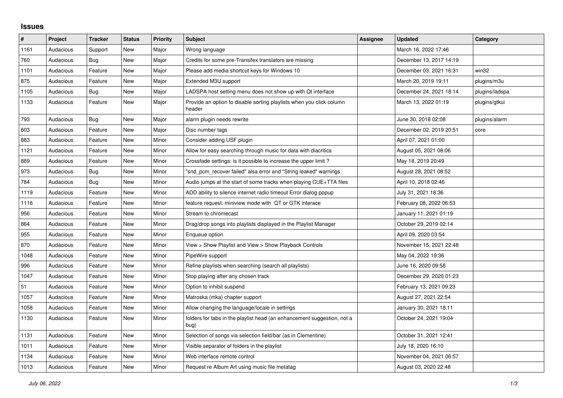## **Issues**

| $\vert$ # | Project   | <b>Tracker</b> | <b>Status</b> | <b>Priority</b> | <b>Subject</b>                                                                  | <b>Assignee</b> | <b>Updated</b>          | Category       |
|-----------|-----------|----------------|---------------|-----------------|---------------------------------------------------------------------------------|-----------------|-------------------------|----------------|
| 1161      | Audacious | Support        | New           | Major           | Wrong language                                                                  |                 | March 16, 2022 17:46    |                |
| 760       | Audacious | Bug            | <b>New</b>    | Major           | Credits for some pre-Transifex translators are missing                          |                 | December 13, 2017 14:19 |                |
| 1101      | Audacious | Feature        | New           | Major           | Please add media shortcut keys for Windows 10                                   |                 | December 03, 2021 16:31 | win32          |
| 875       | Audacious | Feature        | <b>New</b>    | Major           | Extended M3U support                                                            |                 | March 20, 2019 19:11    | plugins/m3u    |
| 1105      | Audacious | <b>Bug</b>     | <b>New</b>    | Major           | LADSPA host setting menu does not show up with Qt interface                     |                 | December 24, 2021 18:14 | plugins/ladspa |
| 1133      | Audacious | Feature        | <b>New</b>    | Major           | Provide an option to disable sorting playlists when you click column<br>header  |                 | March 13, 2022 01:19    | plugins/gtkui  |
| 793       | Audacious | <b>Bug</b>     | <b>New</b>    | Major           | alarm plugin needs rewrite                                                      |                 | June 30, 2018 02:08     | plugins/alarm  |
| 603       | Audacious | Feature        | New           | Major           | Disc number tags                                                                |                 | December 02, 2019 20:51 | core           |
| 883       | Audacious | Feature        | <b>New</b>    | Minor           | Consider adding USF plugin                                                      |                 | April 07, 2021 01:00    |                |
| 1121      | Audacious | Feature        | <b>New</b>    | Minor           | Allow for easy searching through music for data with diacritics                 |                 | August 05, 2021 08:06   |                |
| 889       | Audacious | Feature        | New           | Minor           | Crossfade settings: is it possible to increase the upper limit?                 |                 | May 18, 2019 20:49      |                |
| 973       | Audacious | Bug            | <b>New</b>    | Minor           | "snd pcm recover failed" alsa error and "String leaked" warnings                |                 | August 28, 2021 08:52   |                |
| 784       | Audacious | <b>Bug</b>     | <b>New</b>    | Minor           | Audio jumps at the start of some tracks when playing CUE+TTA files              |                 | April 10, 2018 02:46    |                |
| 1119      | Audacious | Feature        | New           | Minor           | ADD ability to silence internet radio timeout Error dialog popup                |                 | July 31, 2021 18:36     |                |
| 1116      | Audacious | Feature        | <b>New</b>    | Minor           | feature request: miniview mode with QT or GTK interace                          |                 | February 08, 2022 06:53 |                |
| 956       | Audacious | Feature        | <b>New</b>    | Minor           | Stream to chromecast                                                            |                 | January 11, 2021 01:19  |                |
| 864       | Audacious | Feature        | New           | Minor           | Drag/drop songs into playlists displayed in the Playlist Manager                |                 | October 29, 2019 02:14  |                |
| 955       | Audacious | Feature        | <b>New</b>    | Minor           | Enqueue option                                                                  |                 | April 09, 2020 03:54    |                |
| 870       | Audacious | Feature        | <b>New</b>    | Minor           | View > Show Playlist and View > Show Playback Controls                          |                 | November 15, 2021 22:48 |                |
| 1048      | Audacious | Feature        | New           | Minor           | PipeWire support                                                                |                 | May 04, 2022 19:36      |                |
| 996       | Audacious | Feature        | <b>New</b>    | Minor           | Refine playlists when searching (search all playlists)                          |                 | June 16, 2020 09:58     |                |
| 1047      | Audacious | Feature        | <b>New</b>    | Minor           | Stop playing after any chosen track                                             |                 | December 29, 2020 01:23 |                |
| 51        | Audacious | Feature        | New           | Minor           | Option to inhibit suspend                                                       |                 | February 13, 2021 09:23 |                |
| 1057      | Audacious | Feature        | <b>New</b>    | Minor           | Matroska (mka) chapter support                                                  |                 | August 27, 2021 22:54   |                |
| 1058      | Audacious | Feature        | <b>New</b>    | Minor           | Allow changing the language/locale in settings                                  |                 | January 30, 2021 18:11  |                |
| 1130      | Audacious | Feature        | New           | Minor           | folders for tabs in the playlist head (an enhancement suggestion, not a<br>bug) |                 | October 24, 2021 19:04  |                |
| 1131      | Audacious | Feature        | <b>New</b>    | Minor           | Selection of songs via selection field/bar (as in Clementine)                   |                 | October 31, 2021 12:41  |                |
| 1011      | Audacious | Feature        | New           | Minor           | Visible separator of folders in the playlist                                    |                 | July 18, 2020 16:10     |                |
| 1134      | Audacious | Feature        | New           | Minor           | Web interface remote control                                                    |                 | November 04, 2021 06:57 |                |
| 1013      | Audacious | Feature        | <b>New</b>    | Minor           | Request re Album Art using music file metatag                                   |                 | August 03, 2020 22:48   |                |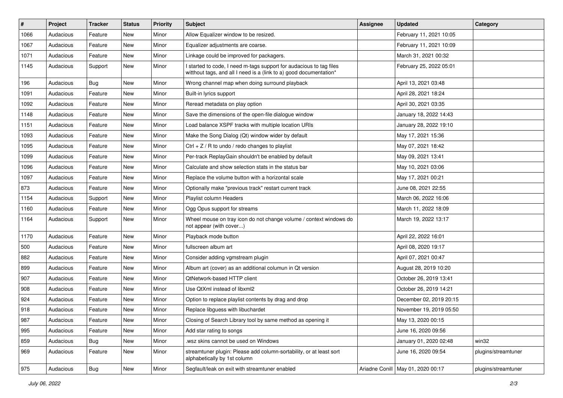| #    | Project   | <b>Tracker</b> | <b>Status</b> | <b>Priority</b> | Subject                                                                                                                                   | <b>Assignee</b> | <b>Updated</b>                      | Category            |
|------|-----------|----------------|---------------|-----------------|-------------------------------------------------------------------------------------------------------------------------------------------|-----------------|-------------------------------------|---------------------|
| 1066 | Audacious | Feature        | New           | Minor           | Allow Equalizer window to be resized.                                                                                                     |                 | February 11, 2021 10:05             |                     |
| 1067 | Audacious | Feature        | New           | Minor           | Equalizer adjustments are coarse.                                                                                                         |                 | February 11, 2021 10:09             |                     |
| 1071 | Audacious | Feature        | New           | Minor           | Linkage could be improved for packagers.                                                                                                  |                 | March 31, 2021 00:32                |                     |
| 1145 | Audacious | Support        | New           | Minor           | I started to code, I need m-tags support for audacious to tag files<br>witthout tags, and all I need is a (link to a) good documentation* |                 | February 25, 2022 05:01             |                     |
| 196  | Audacious | Bug            | New           | Minor           | Wrong channel map when doing surround playback                                                                                            |                 | April 13, 2021 03:48                |                     |
| 1091 | Audacious | Feature        | New           | Minor           | Built-in lyrics support                                                                                                                   |                 | April 28, 2021 18:24                |                     |
| 1092 | Audacious | Feature        | New           | Minor           | Reread metadata on play option                                                                                                            |                 | April 30, 2021 03:35                |                     |
| 1148 | Audacious | Feature        | New           | Minor           | Save the dimensions of the open-file dialogue window                                                                                      |                 | January 18, 2022 14:43              |                     |
| 1151 | Audacious | Feature        | New           | Minor           | Load balance XSPF tracks with multiple location URIs                                                                                      |                 | January 28, 2022 19:10              |                     |
| 1093 | Audacious | Feature        | New           | Minor           | Make the Song Dialog (Qt) window wider by default                                                                                         |                 | May 17, 2021 15:36                  |                     |
| 1095 | Audacious | Feature        | New           | Minor           | Ctrl + $Z$ / R to undo / redo changes to playlist                                                                                         |                 | May 07, 2021 18:42                  |                     |
| 1099 | Audacious | Feature        | New           | Minor           | Per-track ReplayGain shouldn't be enabled by default                                                                                      |                 | May 09, 2021 13:41                  |                     |
| 1096 | Audacious | Feature        | New           | Minor           | Calculate and show selection stats in the status bar                                                                                      |                 | May 10, 2021 03:06                  |                     |
| 1097 | Audacious | Feature        | New           | Minor           | Replace the volume button with a horizontal scale                                                                                         |                 | May 17, 2021 00:21                  |                     |
| 873  | Audacious | Feature        | New           | Minor           | Optionally make "previous track" restart current track                                                                                    |                 | June 08, 2021 22:55                 |                     |
| 1154 | Audacious | Support        | New           | Minor           | Playlist column Headers                                                                                                                   |                 | March 06, 2022 16:06                |                     |
| 1160 | Audacious | Feature        | New           | Minor           | Ogg Opus support for streams                                                                                                              |                 | March 11, 2022 18:09                |                     |
| 1164 | Audacious | Support        | New           | Minor           | Wheel mouse on tray icon do not change volume / context windows do<br>not appear (with cover)                                             |                 | March 19, 2022 13:17                |                     |
| 1170 | Audacious | Feature        | New           | Minor           | Playback mode button                                                                                                                      |                 | April 22, 2022 16:01                |                     |
| 500  | Audacious | Feature        | New           | Minor           | fullscreen album art                                                                                                                      |                 | April 08, 2020 19:17                |                     |
| 882  | Audacious | Feature        | New           | Minor           | Consider adding vgmstream plugin                                                                                                          |                 | April 07, 2021 00:47                |                     |
| 899  | Audacious | Feature        | New           | Minor           | Album art (cover) as an additional columun in Qt version                                                                                  |                 | August 28, 2019 10:20               |                     |
| 907  | Audacious | Feature        | New           | Minor           | QtNetwork-based HTTP client                                                                                                               |                 | October 26, 2019 13:41              |                     |
| 908  | Audacious | Feature        | New           | Minor           | Use QtXml instead of libxml2                                                                                                              |                 | October 26, 2019 14:21              |                     |
| 924  | Audacious | Feature        | New           | Minor           | Option to replace playlist contents by drag and drop                                                                                      |                 | December 02, 2019 20:15             |                     |
| 918  | Audacious | Feature        | New           | Minor           | Replace libguess with libuchardet                                                                                                         |                 | November 19, 2019 05:50             |                     |
| 987  | Audacious | Feature        | New           | Minor           | Closing of Search Library tool by same method as opening it                                                                               |                 | May 13, 2020 00:15                  |                     |
| 995  | Audacious | Feature        | New           | Minor           | Add star rating to songs                                                                                                                  |                 | June 16, 2020 09:56                 |                     |
| 859  | Audacious | Bug            | New           | Minor           | wsz skins cannot be used on Windows                                                                                                       |                 | January 01, 2020 02:48              | win32               |
| 969  | Audacious | Feature        | New           | Minor           | streamtuner plugin: Please add column-sortability, or at least sort<br>alphabetically by 1st column                                       |                 | June 16, 2020 09:54                 | plugins/streamtuner |
| 975  | Audacious | Bug            | New           | Minor           | Segfault/leak on exit with streamtuner enabled                                                                                            |                 | Ariadne Conill   May 01, 2020 00:17 | plugins/streamtuner |